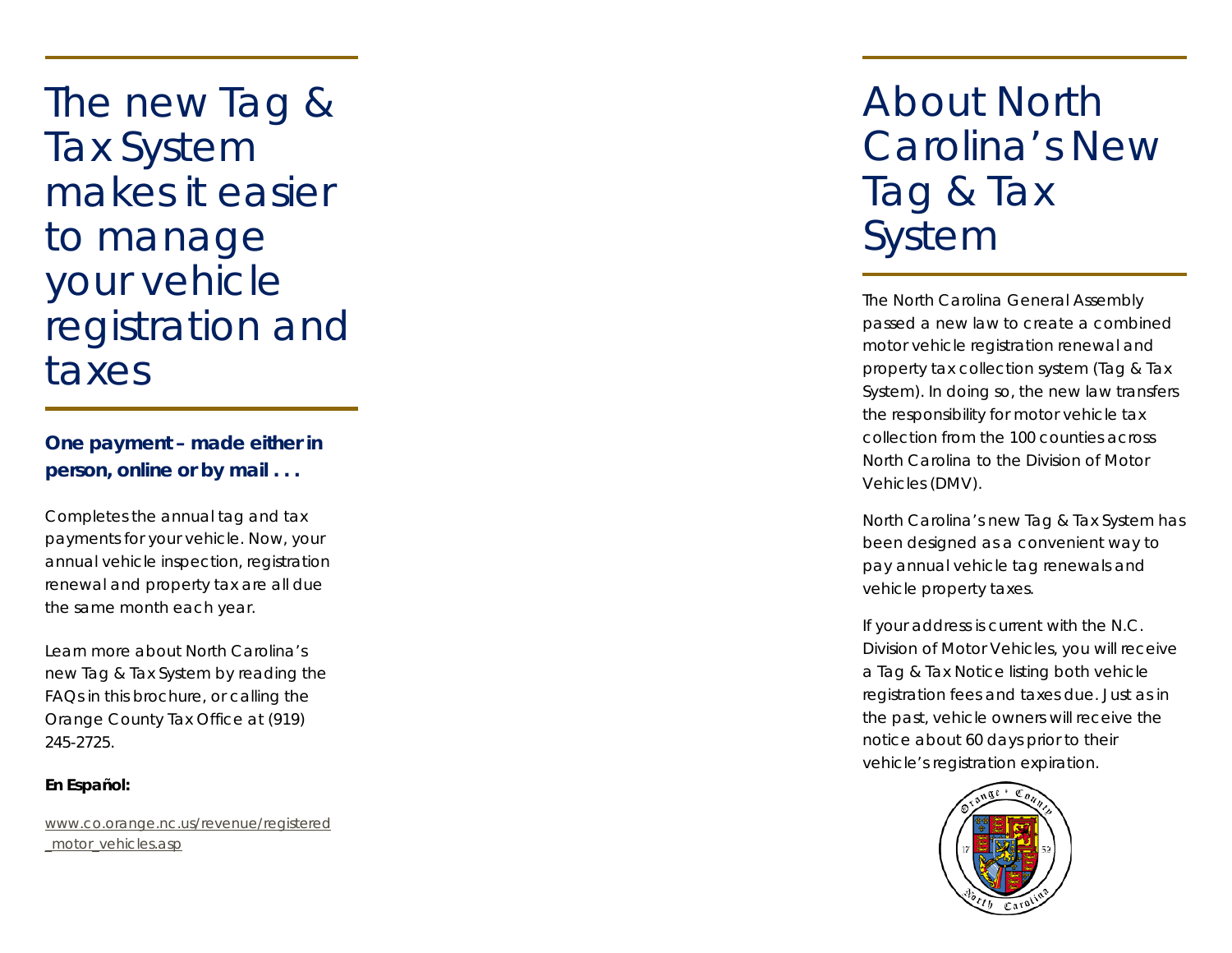The new Tag & Tax System makes it easier to manage your vehicle registration and taxes

**One payment – made either in person, online or by mail . . .**

Completes the annual tag and tax payments for your vehicle. Now, your annual vehicle inspection, registration renewal and property tax are all due the same month each year.

Learn more about North Carolina's new Tag & Tax System by reading the FAQs in this brochure, or calling the Orange County Tax Office at (919) 245-2725.

# **En Español :**

[www.co.orange.nc.us/revenue/registered](http://www.co.orange.nc.us/revenue/registered_motor_vehicles.asp) [\\_motor\\_vehicles.asp](http://www.co.orange.nc.us/revenue/registered_motor_vehicles.asp)

# About North Carolina's New Tag & Tax System

The North Carolina General Assembly passed a new law to create a combined motor vehicle registration renewal and property tax collection system (Tag & Tax System). In doing so, the new law transfers the responsibility for motor vehicle tax collection from the 100 counties across North Carolina to the Division of Motor Vehicles (DMV).

North Carolina's new Tag & Tax System has been designed as a convenient way to pay annual vehicle tag renewals and vehicle property taxes.

If your address is current with the N.C. Division of Motor Vehicles, you will receive a Tag & Tax Notice listing both vehicle registration fees and taxes due. Just as in the past, vehicle owners will receive the notice about 60 days prior to their vehicle's registration expiration.